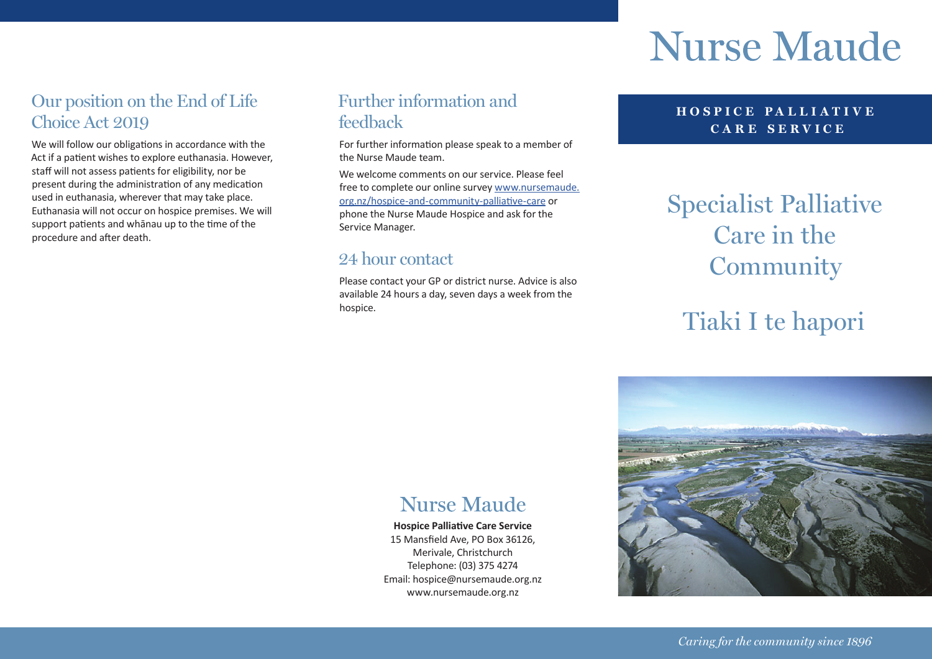# **Nurse Maude**

### Our position on the End of Life Choice Act 2019

We will follow our obligations in accordance with the Act if a patient wishes to explore euthanasia. However, staff will not assess patients for eligibility, nor be present during the administration of any medication used in euthanasia, wherever that may take place. Euthanasia will not occur on hospice premises. We will support patients and whānau up to the time of the procedure and after death.

### Further information and feedback

For further information please speak to a member of the Nurse Maude team.

We welcome comments on our service. Please feel free to complete our online survey [www.nursemaude.](http://www.nursemaude.org.nz/hospice-and-community-palliative-care) [org.nz/hospice-and-community-palliative-care](http://www.nursemaude.org.nz/hospice-and-community-palliative-care) or phone the Nurse Maude Hospice and ask for the Service Manager.

### 24 hour contact

Please contact your GP or district nurse. Advice is also available 24 hours a day, seven days a week from the hospice.

#### **HOSPICE PA LLI ATI V E CARE SERVICE**

### Specialist Palliative Care in the Community

## Tiaki I te hapori



### **Nurse Maude**

**Hospice Palliative Care Service**  15 Mansfield Ave, PO Box 36126, Merivale, Christchurch Telephone: (03) 375 4274 Email: hospice@nursemaude.org.nz www.nursemaude.org.nz